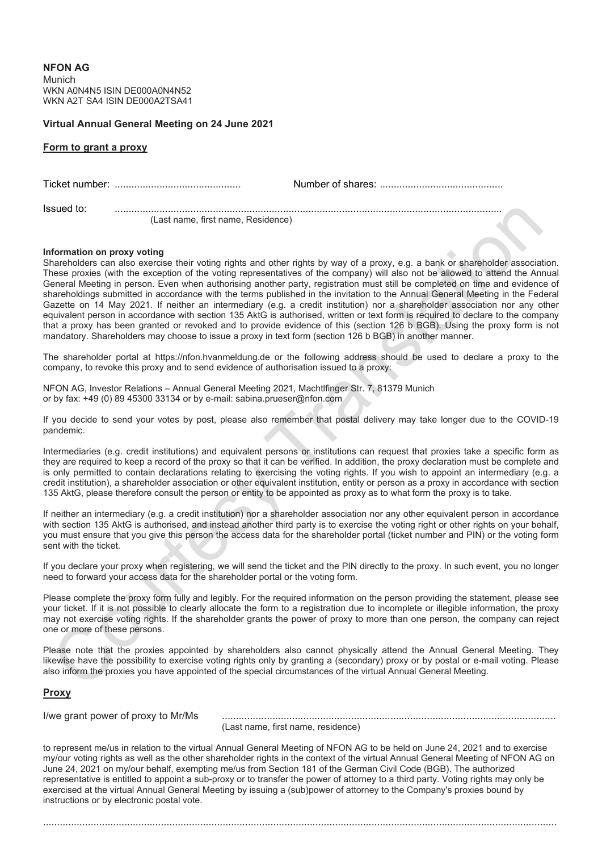**NFON AG** Munich WKN A0N4N5 ISIN DE000A0N4N52 WKN A2T SA4 ISIN DE000A2TSA41

## **Virtual Annual General Meeting on 24 June 2021**

## **Form to grant a proxy**

| Issued to: | (Last name, first name, Residence) |  |
|------------|------------------------------------|--|

## **Information on proxy voting**

Shareholders can also exercise their voting rights and other rights by way of a proxy, e.g. a bank or shareholder association. These proxies (with the exception of the voting representatives of the company) will also not be allowed to attend the Annual General Meeting in person. Even when authorising another party, registration must still be completed on time and evidence of shareholdings submitted in accordance with the terms published in the invitation to the Annual General Meeting in the Federal Gazette on 14 May 2021. If neither an intermediary (e.g. a credit institution) nor a shareholder association nor any other equivalent person in accordance with section 135 AktG is authorised, written or text form is required to declare to the company that a proxy has been granted or revoked and to provide evidence of this (section 126 b BGB). Using the proxy form is not mandatory. Shareholders may choose to issue a proxy in text form (section 126 b BGB) in another manner.

The shareholder portal at https://nfon.hvanmeldung.de or the following address should be used to declare a proxy to the company, to revoke this proxy and to send evidence of authorisation issued to a proxy:

NFON AG, Investor Relations – Annual General Meeting 2021, Machtlfinger Str. 7, 81379 Munich or by fax: +49 (0) 89 45300 33134 or by e-mail: sabina.prueser@nfon.com

If you decide to send your votes by post, please also remember that postal delivery may take longer due to the COVID-19 pandemic.

Intermediaries (e.g. credit institutions) and equivalent persons or institutions can request that proxies take a specific form as they are required to keep a record of the proxy so that it can be verified. In addition, the proxy declaration must be complete and is only permitted to contain declarations relating to exercising the voting rights. If you wish to appoint an intermediary (e.g. a credit institution), a shareholder association or other equivalent institution, entity or person as a proxy in accordance with section 135 AktG, please therefore consult the person or entity to be appointed as proxy as to what form the proxy is to take.

If neither an intermediary (e.g. a credit institution) nor a shareholder association nor any other equivalent person in accordance with section 135 AktG is authorised, and instead another third party is to exercise the voting right or other rights on your behalf, you must ensure that you give this person the access data for the shareholder portal (ticket number and PIN) or the voting form sent with the ticket.

If you declare your proxy when registering, we will send the ticket and the PIN directly to the proxy. In such event, you no longer need to forward your access data for the shareholder portal or the voting form.

Please complete the proxy form fully and legibly. For the required information on the person providing the statement, please see your ticket. If it is not possible to clearly allocate the form to a registration due to incomplete or illegible information, the proxy may not exercise voting rights. If the shareholder grants the power of proxy to more than one person, the company can reject one or more of these persons.

Please note that the proxies appointed by shareholders also cannot physically attend the Annual General Meeting. They likewise have the possibility to exercise voting rights only by granting a (secondary) proxy or by postal or e-mail voting. Please also inform the proxies you have appointed of the special circumstances of the virtual Annual General Meeting.

## **Proxy**

I/we grant power of proxy to Mr/Ms .......................................................................................................................

(Last name, first name, residence)

to represent me/us in relation to the virtual Annual General Meeting of NFON AG to be held on June 24, 2021 and to exercise my/our voting rights as well as the other shareholder rights in the context of the virtual Annual General Meeting of NFON AG on June 24, 2021 on my/our behalf, exempting me/us from Section 181 of the German Civil Code (BGB). The authorized representative is entitled to appoint a sub-proxy or to transfer the power of attorney to a third party. Voting rights may only be exercised at the virtual Annual General Meeting by issuing a (sub)power of attorney to the Company's proxies bound by instructions or by electronic postal vote.

.......................................................................................................................................................................................